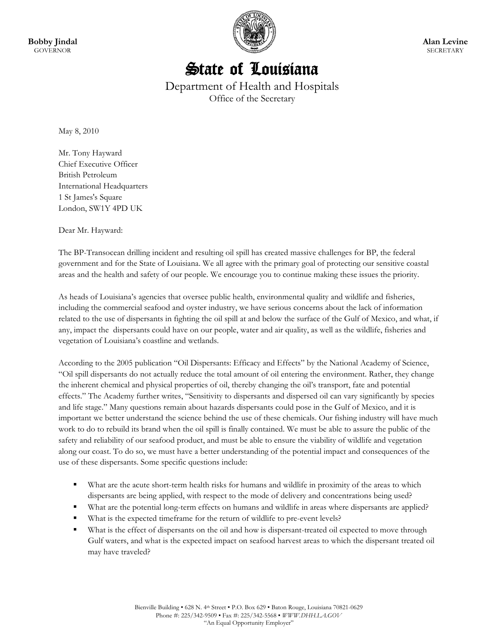

## **Alan Levine SECRETARY**

## State of Louisiana

Department of Health and Hospitals Office of the Secretary

May 8, 2010

Mr. Tony Hayward Chief Executive Officer British Petroleum International Headquarters 1 St James's Square London, SW1Y 4PD UK

Dear Mr. Hayward:

The BP-Transocean drilling incident and resulting oil spill has created massive challenges for BP, the federal government and for the State of Louisiana. We all agree with the primary goal of protecting our sensitive coastal areas and the health and safety of our people. We encourage you to continue making these issues the priority.

As heads of Louisiana's agencies that oversee public health, environmental quality and wildlife and fisheries, including the commercial seafood and oyster industry, we have serious concerns about the lack of information related to the use of dispersants in fighting the oil spill at and below the surface of the Gulf of Mexico, and what, if any, impact the dispersants could have on our people, water and air quality, as well as the wildlife, fisheries and vegetation of Louisiana's coastline and wetlands.

According to the 2005 publication "Oil Dispersants: Efficacy and Effects" by the National Academy of Science, "Oil spill dispersants do not actually reduce the total amount of oil entering the environment. Rather, they change the inherent chemical and physical properties of oil, thereby changing the oil's transport, fate and potential effects." The Academy further writes, "Sensitivity to dispersants and dispersed oil can vary significantly by species and life stage." Many questions remain about hazards dispersants could pose in the Gulf of Mexico, and it is important we better understand the science behind the use of these chemicals. Our fishing industry will have much work to do to rebuild its brand when the oil spill is finally contained. We must be able to assure the public of the safety and reliability of our seafood product, and must be able to ensure the viability of wildlife and vegetation along our coast. To do so, we must have a better understanding of the potential impact and consequences of the use of these dispersants. Some specific questions include:

- What are the acute short-term health risks for humans and wildlife in proximity of the areas to which dispersants are being applied, with respect to the mode of delivery and concentrations being used?
- What are the potential long-term effects on humans and wildlife in areas where dispersants are applied?
- What is the expected timeframe for the return of wildlife to pre-event levels?
- What is the effect of dispersants on the oil and how is dispersant-treated oil expected to move through Gulf waters, and what is the expected impact on seafood harvest areas to which the dispersant treated oil may have traveled?